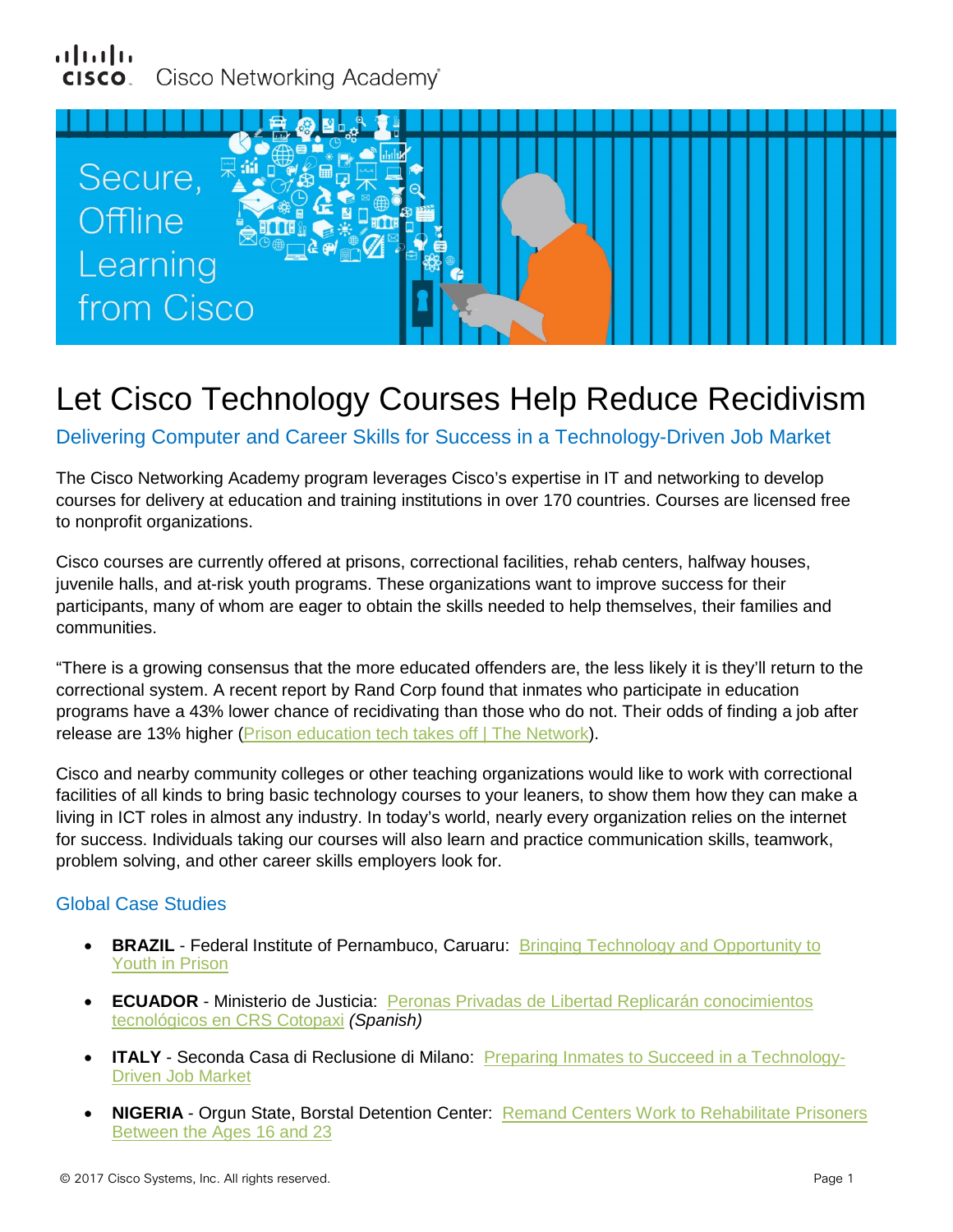## սիսիշ Cisco Networking Academy®



# Let Cisco Technology Courses Help Reduce Recidivism

Delivering Computer and Career Skills for Success in a Technology-Driven Job Market

The Cisco Networking Academy program leverages Cisco's expertise in IT and networking to develop courses for delivery at education and training institutions in over 170 countries. Courses are licensed free to nonprofit organizations.

Cisco courses are currently offered at prisons, correctional facilities, rehab centers, halfway houses, juvenile halls, and at-risk youth programs. These organizations want to improve success for their participants, many of whom are eager to obtain the skills needed to help themselves, their families and communities.

"There is a growing consensus that the more educated offenders are, the less likely it is they'll return to the correctional system. A recent report by Rand Corp found that inmates who participate in education programs have a 43% lower chance of recidivating than those who do not. Their odds of finding a job after release are 13% higher (Prison education [tech takes off | The Network\)](https://newsroom.cisco.com/feature-content?type=webcontent&articleId=1781546).

Cisco and nearby community colleges or other teaching organizations would like to work with correctional facilities of all kinds to bring basic technology courses to your leaners, to show them how they can make a living in ICT roles in almost any industry. In today's world, nearly every organization relies on the internet for success. Individuals taking our courses will also learn and practice communication skills, teamwork, problem solving, and other career skills employers look for.

## Global Case Studies

- **BRAZIL** Federal Institute of Pernambuco, Caruaru: Bringing Technology and Opportunity to [Youth in Prison](https://cisco.jiveon.com/docs/DOC-1744564)
- **ECUADOR** Ministerio de Justicia: [Peronas Privadas de Libertad Replicarán conocimientos](https://cisco.jiveon.com/docs/DOC-1744565)  [tecnológicos en CRS Cotopaxi](https://cisco.jiveon.com/docs/DOC-1744565) *(Spanish)*
- **ITALY** Seconda Casa di Reclusione di Milano: [Preparing Inmates to Succeed in a Technology-](https://cisco.jiveon.com/docs/DOC-1744983)[Driven Job Market](https://cisco.jiveon.com/docs/DOC-1744983)
- **NIGERIA** Orgun State, Borstal Detention Center: [Remand Centers Work to Rehabilitate Prisoners](https://cisco.jiveon.com/docs/DOC-1744566)  [Between the Ages 16 and 23](https://cisco.jiveon.com/docs/DOC-1744566)